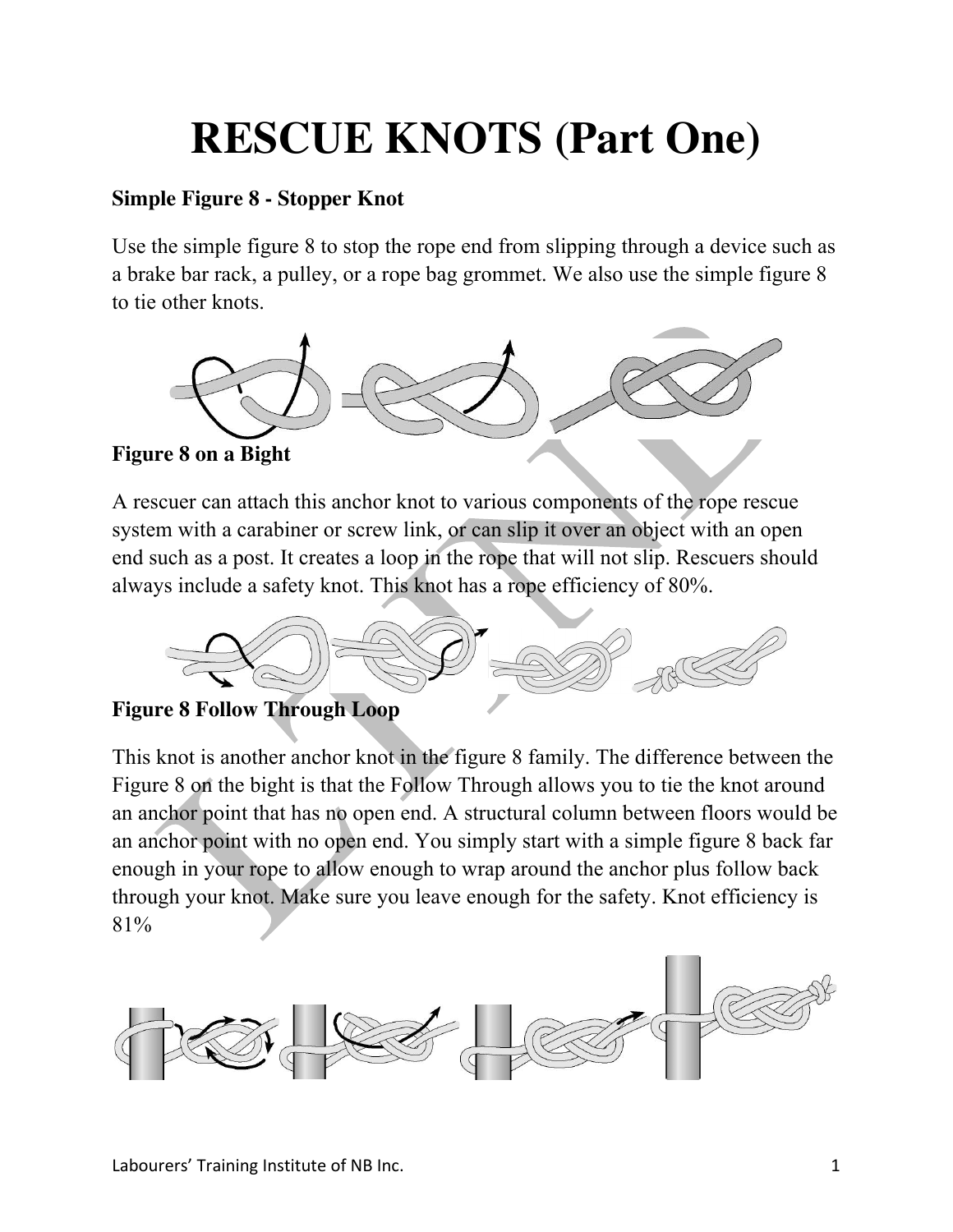## **RESCUE KNOTS (Part One)**

## **Simple Figure 8 - Stopper Knot**

Use the simple figure 8 to stop the rope end from slipping through a device such as a brake bar rack, a pulley, or a rope bag grommet. We also use the simple figure 8 to tie other knots.





A rescuer can attach this anchor knot to various components of the rope rescue system with a carabiner or screw link, or can slip it over an object with an open end such as a post. It creates a loop in the rope that will not slip. Rescuers should always include a safety knot. This knot has a rope efficiency of 80%.



**Figure 8 Follow Through Loop** 

This knot is another anchor knot in the figure 8 family. The difference between the Figure 8 on the bight is that the Follow Through allows you to tie the knot around an anchor point that has no open end. A structural column between floors would be an anchor point with no open end. You simply start with a simple figure 8 back far enough in your rope to allow enough to wrap around the anchor plus follow back through your knot. Make sure you leave enough for the safety. Knot efficiency is 81%